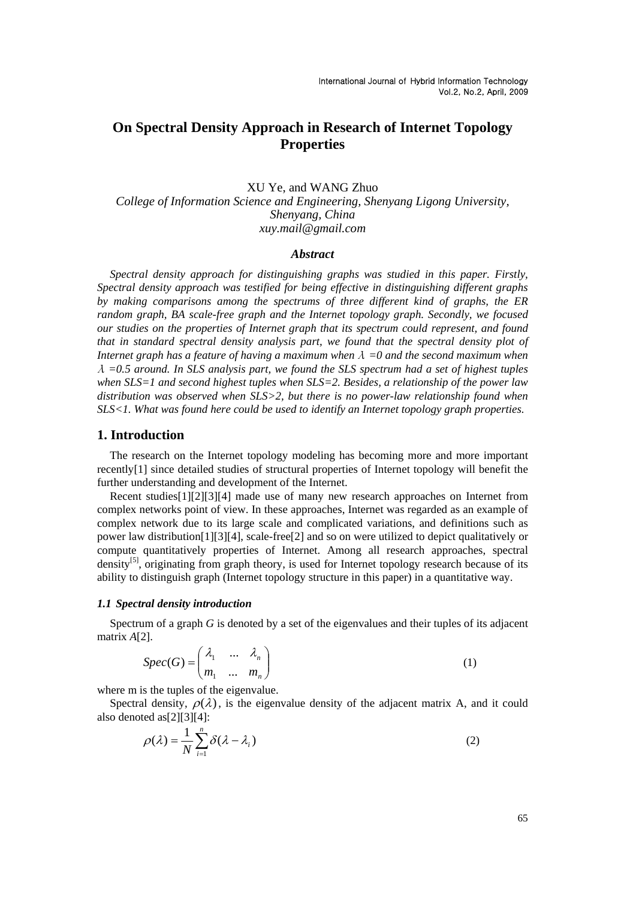# **On Spectral Density Approach in Research of Internet Topology Properties**

XU Ye, and WANG Zhuo *College of Information Science and Engineering, Shenyang Ligong University, Shenyang, China xuy.mail@gmail.com* 

### *Abstract*

*Spectral density approach for distinguishing graphs was studied in this paper. Firstly, Spectral density approach was testified for being effective in distinguishing different graphs by making comparisons among the spectrums of three different kind of graphs, the ER*  random graph, BA scale-free graph and the Internet topology graph. Secondly, we focused *our studies on the properties of Internet graph that its spectrum could represent, and found that in standard spectral density analysis part, we found that the spectral density plot of Internet graph has a feature of having a maximum when* <sup>λ</sup> *=0 and the second maximum when* <sup>λ</sup> *=0.5 around. In SLS analysis part, we found the SLS spectrum had a set of highest tuples when SLS=1 and second highest tuples when SLS=2. Besides, a relationship of the power law distribution was observed when SLS>2, but there is no power-law relationship found when SLS<1. What was found here could be used to identify an Internet topology graph properties.* 

## **1. Introduction**

The research on the Internet topology modeling has becoming more and more important recently[1] since detailed studies of structural properties of Internet topology will benefit the further understanding and development of the Internet.

Recent studies[1][2][3][4] made use of many new research approaches on Internet from complex networks point of view. In these approaches, Internet was regarded as an example of complex network due to its large scale and complicated variations, and definitions such as power law distribution[1][3][4], scale-free[2] and so on were utilized to depict qualitatively or compute quantitatively properties of Internet. Among all research approaches, spectral density<sup>[5]</sup>, originating from graph theory, is used for Internet topology research because of its ability to distinguish graph (Internet topology structure in this paper) in a quantitative way.

### *1.1 Spectral density introduction*

Spectrum of a graph *G* is denoted by a set of the eigenvalues and their tuples of its adjacent matrix *A*[2].

$$
Spec(G) = \begin{pmatrix} \lambda_1 & \dots & \lambda_n \\ m_1 & \dots & m_n \end{pmatrix}
$$
 (1)

where m is the tuples of the eigenvalue.

Spectral density,  $\rho(\lambda)$ , is the eigenvalue density of the adjacent matrix A, and it could also denoted as[2][3][4]:

$$
\rho(\lambda) = \frac{1}{N} \sum_{i=1}^{n} \delta(\lambda - \lambda_i)
$$
\n(2)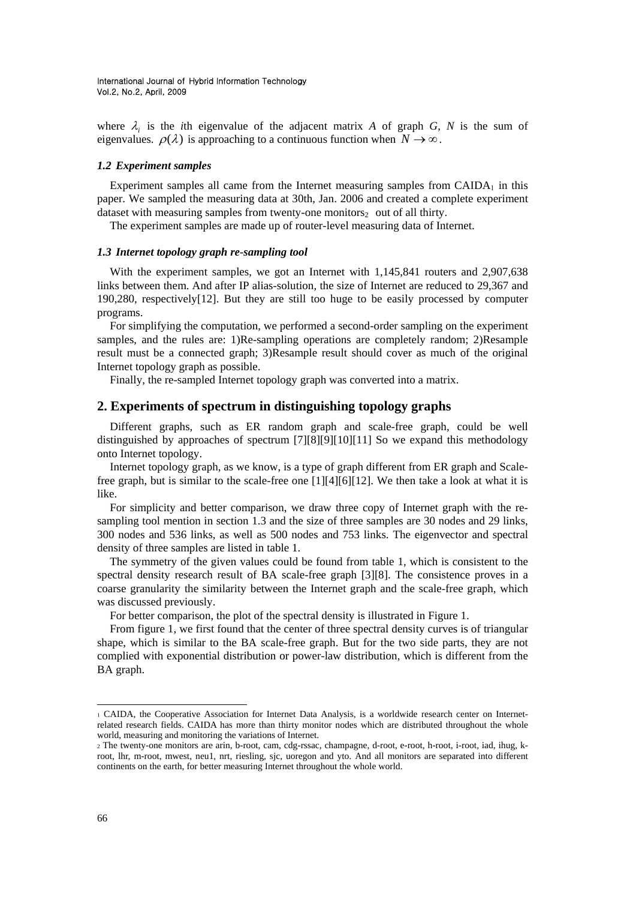where  $\lambda_i$  is the *i*th eigenvalue of the adjacent matrix *A* of graph *G*, *N* is the sum of eigenvalues.  $\rho(\lambda)$  is approaching to a continuous function when  $N \to \infty$ .

### *1.2 Experiment samples*

Experiment samples all came from the Internet measuring samples from  $CADA<sub>1</sub>$  in this paper. We sampled the measuring data at 30th, Jan. 2006 and created a complete experiment dataset with measuring samples from twenty-one monitors $_2$  out of all thirty.

The experiment samples are made up of router-level measuring data of Internet.

## *1.3 Internet topology graph re-sampling tool*

With the experiment samples, we got an Internet with 1,145,841 routers and 2,907,638 links between them. And after IP alias-solution, the size of Internet are reduced to 29,367 and 190,280, respectively[12]. But they are still too huge to be easily processed by computer programs.

For simplifying the computation, we performed a second-order sampling on the experiment samples, and the rules are: 1)Re-sampling operations are completely random; 2)Resample result must be a connected graph; 3)Resample result should cover as much of the original Internet topology graph as possible.

Finally, the re-sampled Internet topology graph was converted into a matrix.

## **2. Experiments of spectrum in distinguishing topology graphs**

Different graphs, such as ER random graph and scale-free graph, could be well distinguished by approaches of spectrum [7][8][9][10][11] So we expand this methodology onto Internet topology.

Internet topology graph, as we know, is a type of graph different from ER graph and Scalefree graph, but is similar to the scale-free one [1][4][6][12]. We then take a look at what it is like.

For simplicity and better comparison, we draw three copy of Internet graph with the resampling tool mention in section 1.3 and the size of three samples are 30 nodes and 29 links, 300 nodes and 536 links, as well as 500 nodes and 753 links. The eigenvector and spectral density of three samples are listed in table 1.

The symmetry of the given values could be found from table 1, which is consistent to the spectral density research result of BA scale-free graph [3][8]. The consistence proves in a coarse granularity the similarity between the Internet graph and the scale-free graph, which was discussed previously.

For better comparison, the plot of the spectral density is illustrated in Figure 1.

From figure 1, we first found that the center of three spectral density curves is of triangular shape, which is similar to the BA scale-free graph. But for the two side parts, they are not complied with exponential distribution or power-law distribution, which is different from the BA graph.

l

CAIDA, the Cooperative Association for Internet Data Analysis, is a worldwide research center on Internetrelated research fields. CAIDA has more than thirty monitor nodes which are distributed throughout the whole world, measuring and monitoring the variations of Internet.

<sup>2</sup> The twenty-one monitors are arin, b-root, cam, cdg-rssac, champagne, d-root, e-root, h-root, i-root, iad, ihug, kroot, lhr, m-root, mwest, neu1, nrt, riesling, sjc, uoregon and yto. And all monitors are separated into different continents on the earth, for better measuring Internet throughout the whole world.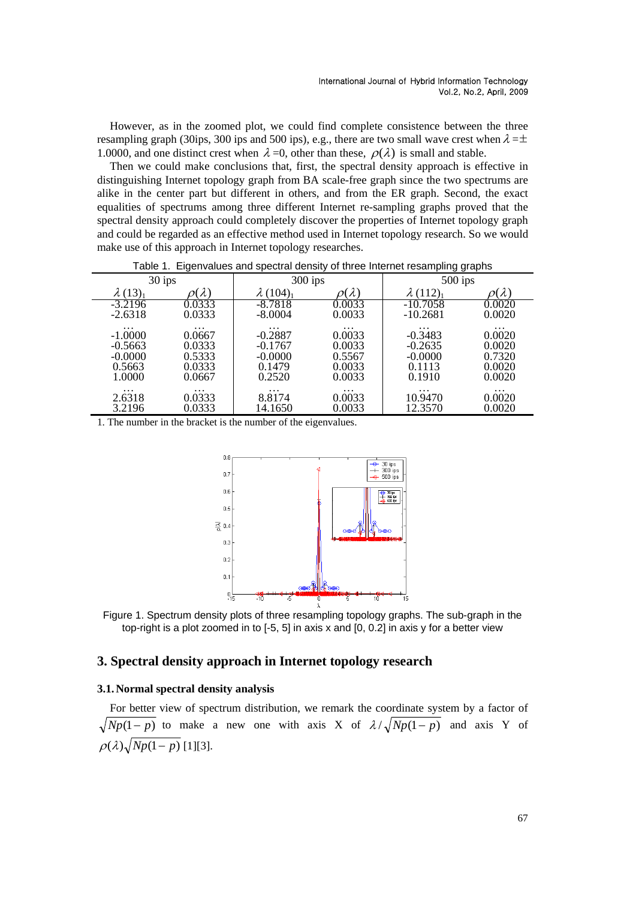However, as in the zoomed plot, we could find complete consistence between the three resampling graph (30ips, 300 ips and 500 ips), e.g., there are two small wave crest when  $\lambda = \pm$ 1.0000, and one distinct crest when  $\lambda = 0$ , other than these,  $\rho(\lambda)$  is small and stable.

Then we could make conclusions that, first, the spectral density approach is effective in distinguishing Internet topology graph from BA scale-free graph since the two spectrums are alike in the center part but different in others, and from the ER graph. Second, the exact equalities of spectrums among three different Internet re-sampling graphs proved that the spectral density approach could completely discover the properties of Internet topology graph and could be regarded as an effective method used in Internet topology research. So we would make use of this approach in Internet topology researches.

| 30 ips                      |                    | $300$ ips             |                  | $500$ ips             |                    |
|-----------------------------|--------------------|-----------------------|------------------|-----------------------|--------------------|
| $\lambda$ (13) <sub>1</sub> | $(\lambda)$        | $\lambda(104)_{1}$    | $\lambda$        | $\lambda(112)_{1}$    | $(\lambda)$        |
| $-3.2196$                   | 0.0333             | -8.7818               | 0.0033           | $-10.7058$            | 0.0020             |
| $-2.6318$                   | 0.0333             | $-8.0004$             | 0.0033           | $-10.2681$            | 0.0020             |
| $\ddotsc$<br>$-1.0000$      | $\cdots$<br>0.0667 | $\cdots$<br>$-0.2887$ | .<br>0.0033      | $\cdots$<br>$-0.3483$ | $\cdots$<br>0.0020 |
| $-0.5663$                   | 0.0333             | $-0.1767$             | 0.0033           | $-0.2635$             | 0.0020             |
| $-0.0000$                   | 0.5333             | $-0.0000$             | 0.5567           | $-0.0000$             | 0.7320             |
| 0.5663<br>1.0000            | 0.0333<br>0.0667   | 0.1479<br>0.2520      | 0.0033<br>0.0033 | 0.1113<br>0.1910      | 0.0020<br>0.0020   |
| $\cdots$                    | $\cdots$           |                       | .                | $\cdot$               |                    |
| 2.6318                      | 0.0333             | $\cdots$<br>8.8174    | 0.0033           | 10.9470               | $\cdots$<br>0.0020 |
| 3.2196                      | 0.0333             | 14.1650               | 0.0033           | 12.3570               | 0.0020             |

Table 1. Eigenvalues and spectral density of three Internet resampling graphs

1. The number in the bracket is the number of the eigenvalues.



Figure 1. Spectrum density plots of three resampling topology graphs. The sub-graph in the top-right is a plot zoomed in to [-5, 5] in axis x and [0, 0.2] in axis y for a better view

## **3. Spectral density approach in Internet topology research**

## **3.1.Normal spectral density analysis**

For better view of spectrum distribution, we remark the coordinate system by a factor of  $\sqrt{Np(1-p)}$  to make a new one with axis X of  $\lambda/\sqrt{Np(1-p)}$  and axis Y of  $\rho(\lambda)$  $\sqrt{Np(1-p)}$  [1][3].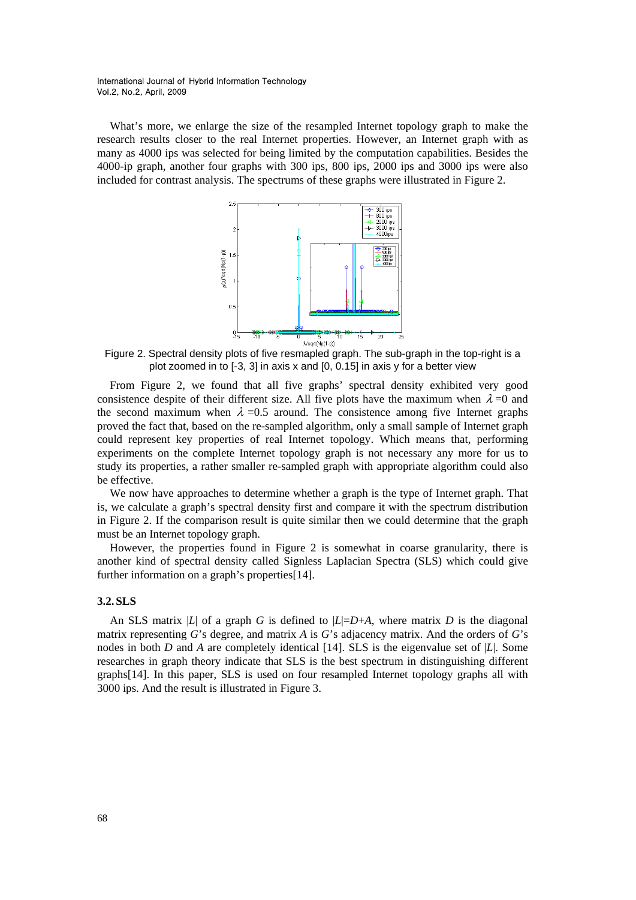What's more, we enlarge the size of the resampled Internet topology graph to make the research results closer to the real Internet properties. However, an Internet graph with as many as 4000 ips was selected for being limited by the computation capabilities. Besides the 4000-ip graph, another four graphs with 300 ips, 800 ips, 2000 ips and 3000 ips were also included for contrast analysis. The spectrums of these graphs were illustrated in Figure 2.



Figure 2. Spectral density plots of five resmapled graph. The sub-graph in the top-right is a plot zoomed in to [-3, 3] in axis x and [0, 0.15] in axis y for a better view

From Figure 2, we found that all five graphs' spectral density exhibited very good consistence despite of their different size. All five plots have the maximum when  $\lambda = 0$  and the second maximum when  $\lambda = 0.5$  around. The consistence among five Internet graphs proved the fact that, based on the re-sampled algorithm, only a small sample of Internet graph could represent key properties of real Internet topology. Which means that, performing experiments on the complete Internet topology graph is not necessary any more for us to study its properties, a rather smaller re-sampled graph with appropriate algorithm could also be effective.

We now have approaches to determine whether a graph is the type of Internet graph. That is, we calculate a graph's spectral density first and compare it with the spectrum distribution in Figure 2. If the comparison result is quite similar then we could determine that the graph must be an Internet topology graph.

However, the properties found in Figure 2 is somewhat in coarse granularity, there is another kind of spectral density called Signless Laplacian Spectra (SLS) which could give further information on a graph's properties[14].

## **3.2.SLS**

An SLS matrix |*L*| of a graph *G* is defined to  $|L|=D+A$ , where matrix *D* is the diagonal matrix representing *G*'s degree, and matrix *A* is *G*'s adjacency matrix. And the orders of *G*'s nodes in both *D* and *A* are completely identical [14]. SLS is the eigenvalue set of |*L*|. Some researches in graph theory indicate that SLS is the best spectrum in distinguishing different graphs[14]. In this paper, SLS is used on four resampled Internet topology graphs all with 3000 ips. And the result is illustrated in Figure 3.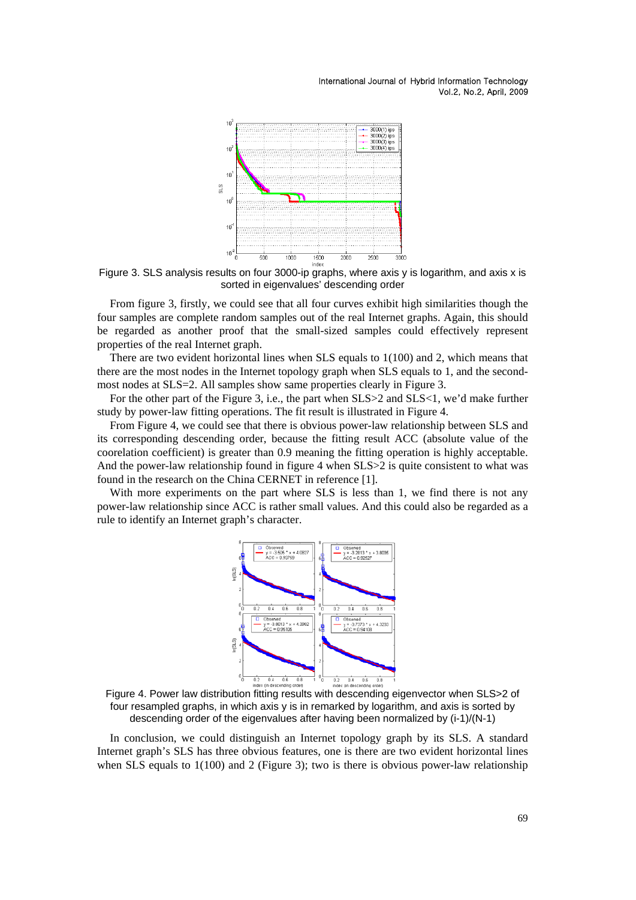

Figure 3. SLS analysis results on four 3000-ip graphs, where axis y is logarithm, and axis x is sorted in eigenvalues' descending order

From figure 3, firstly, we could see that all four curves exhibit high similarities though the four samples are complete random samples out of the real Internet graphs. Again, this should be regarded as another proof that the small-sized samples could effectively represent properties of the real Internet graph.

There are two evident horizontal lines when SLS equals to 1(100) and 2, which means that there are the most nodes in the Internet topology graph when SLS equals to 1, and the secondmost nodes at SLS=2. All samples show same properties clearly in Figure 3.

For the other part of the Figure 3, i.e., the part when  $SLS > 2$  and  $SLS < 1$ , we'd make further study by power-law fitting operations. The fit result is illustrated in Figure 4.

From Figure 4, we could see that there is obvious power-law relationship between SLS and its corresponding descending order, because the fitting result ACC (absolute value of the coorelation coefficient) is greater than 0.9 meaning the fitting operation is highly acceptable. And the power-law relationship found in figure 4 when SLS $>$ 2 is quite consistent to what was found in the research on the China CERNET in reference [1].

With more experiments on the part where SLS is less than 1, we find there is not any power-law relationship since ACC is rather small values. And this could also be regarded as a rule to identify an Internet graph's character.



Figure 4. Power law distribution fitting results with descending eigenvector when SLS>2 of four resampled graphs, in which axis y is in remarked by logarithm, and axis is sorted by descending order of the eigenvalues after having been normalized by (i-1)/(N-1)

In conclusion, we could distinguish an Internet topology graph by its SLS. A standard Internet graph's SLS has three obvious features, one is there are two evident horizontal lines when SLS equals to  $1(100)$  and 2 (Figure 3); two is there is obvious power-law relationship